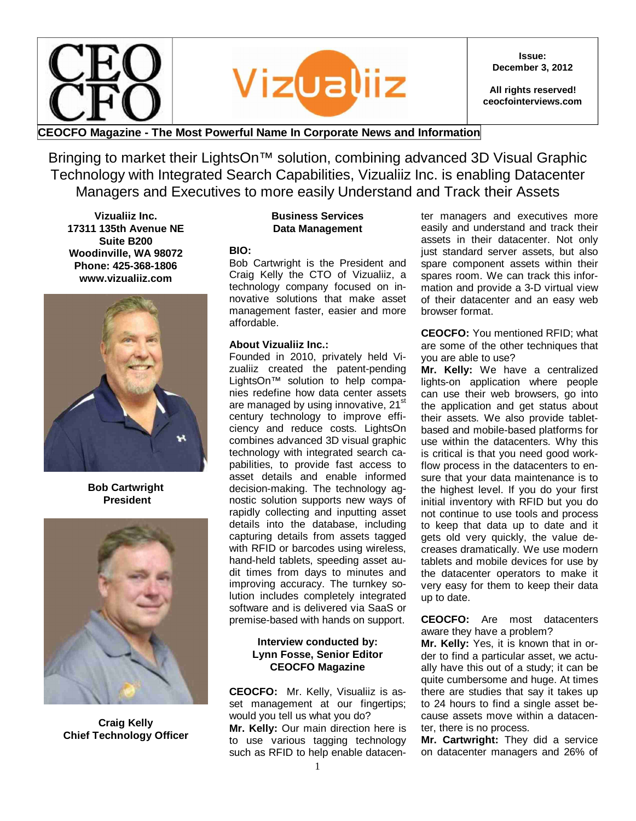

**Issue: December 3, 2012**

**All rights reserved! ceocfointerviews.com**

## **CEOCFO Magazine - The Most Powerful Name In Corporate News and Information**

Bringing to market their LightsOn<sup>™</sup> solution, combining advanced 3D Visual Graphic Technology with Integrated Search Capabilities, Vizualiiz Inc. is enabling Datacenter Managers and Executives to more easily Understand and Track their Assets

**Vizualiiz Inc. 17311 135th Avenue NE Suite B200 Woodinville, WA 98072 Phone: 425-368-1806 www.vizualiiz.com**



#### **Bob Cartwright President**



**Craig Kelly Chief Technology Officer**

#### **Business Services Data Management**

**BIO:**

Bob Cartwright is the President and Craig Kelly the CTO of Vizualiiz, a technology company focused on innovative solutions that make asset management faster, easier and more affordable.

#### **About Vizualiiz Inc.:**

Founded in 2010, privately held Vizualiiz created the patent-pending LightsOn™ solution to help companies redefine how data center assets are managed by using innovative, 21<sup>st</sup> century technology to improve efficiency and reduce costs. LightsOn combines advanced 3D visual graphic technology with integrated search capabilities, to provide fast access to asset details and enable informed decision-making. The technology agnostic solution supports new ways of rapidly collecting and inputting asset details into the database, including capturing details from assets tagged with RFID or barcodes using wireless, hand-held tablets, speeding asset audit times from days to minutes and improving accuracy. The turnkey solution includes completely integrated software and is delivered via SaaS or premise-based with hands on support.

### **Interview conducted by: Lynn Fosse, Senior Editor CEOCFO Magazine**

**CEOCFO:** Mr. Kelly, Visualiiz is asset management at our fingertips; would you tell us what you do? **Mr. Kelly:** Our main direction here is to use various tagging technology such as RFID to help enable datacenter managers and executives more easily and understand and track their assets in their datacenter. Not only just standard server assets, but also spare component assets within their spares room. We can track this information and provide a 3-D virtual view of their datacenter and an easy web browser format.

**CEOCFO:** You mentioned RFID; what are some of the other techniques that you are able to use?

**Mr. Kelly:** We have a centralized lights-on application where people can use their web browsers, go into the application and get status about their assets. We also provide tabletbased and mobile-based platforms for use within the datacenters. Why this is critical is that you need good workflow process in the datacenters to ensure that your data maintenance is to the highest level. If you do your first initial inventory with RFID but you do not continue to use tools and process to keep that data up to date and it gets old very quickly, the value decreases dramatically. We use modern tablets and mobile devices for use by the datacenter operators to make it very easy for them to keep their data up to date.

**CEOCFO:** Are most datacenters aware they have a problem?

**Mr. Kelly:** Yes, it is known that in order to find a particular asset, we actually have this out of a study; it can be quite cumbersome and huge. At times there are studies that say it takes up to 24 hours to find a single asset because assets move within a datacenter, there is no process.

**Mr. Cartwright:** They did a service on datacenter managers and 26% of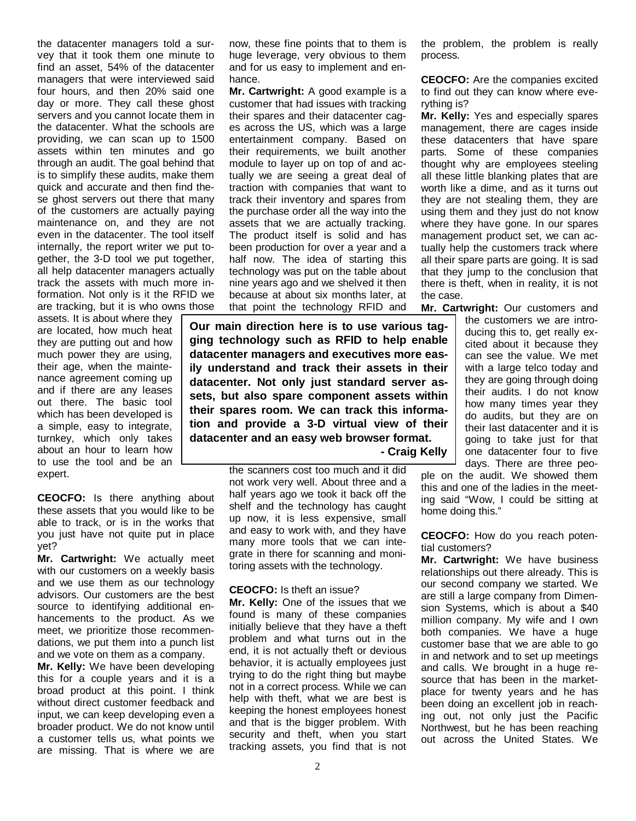the datacenter managers told a survey that it took them one minute to find an asset, 54% of the datacenter managers that were interviewed said four hours, and then 20% said one day or more. They call these ghost servers and you cannot locate them in the datacenter. What the schools are providing, we can scan up to 1500 assets within ten minutes and go through an audit. The goal behind that is to simplify these audits, make them quick and accurate and then find these ghost servers out there that many of the customers are actually paying maintenance on, and they are not even in the datacenter. The tool itself internally, the report writer we put together, the 3-D tool we put together, all help datacenter managers actually track the assets with much more information. Not only is it the RFID we are tracking, but it is who owns those

assets. It is about where they are located, how much heat they are putting out and how much power they are using, their age, when the maintenance agreement coming up and if there are any leases out there. The basic tool which has been developed is a simple, easy to integrate, turnkey, which only takes about an hour to learn how to use the tool and be an expert.

**CEOCFO:** Is there anything about these assets that you would like to be able to track, or is in the works that you just have not quite put in place yet?

**Mr. Cartwright:** We actually meet with our customers on a weekly basis and we use them as our technology advisors. Our customers are the best source to identifying additional enhancements to the product. As we meet, we prioritize those recommendations, we put them into a punch list and we vote on them as a company.

**Mr. Kelly:** We have been developing this for a couple years and it is a broad product at this point. I think without direct customer feedback and input, we can keep developing even a broader product. We do not know until a customer tells us, what points we are missing. That is where we are

now, these fine points that to them is huge leverage, very obvious to them and for us easy to implement and enhance.

**Mr. Cartwright:** A good example is a customer that had issues with tracking their spares and their datacenter cages across the US, which was a large entertainment company. Based on their requirements, we built another module to layer up on top of and actually we are seeing a great deal of traction with companies that want to track their inventory and spares from the purchase order all the way into the assets that we are actually tracking. The product itself is solid and has been production for over a year and a half now. The idea of starting this technology was put on the table about nine years ago and we shelved it then because at about six months later, at that point the technology RFID and

**Our main direction here is to use various tagging technology such as RFID to help enable datacenter managers and executives more easily understand and track their assets in their datacenter. Not only just standard server assets, but also spare component assets within their spares room. We can track this information and provide a 3-D virtual view of their datacenter and an easy web browser format.**

 **- Craig Kelly**

the scanners cost too much and it did not work very well. About three and a half years ago we took it back off the shelf and the technology has caught up now, it is less expensive, small and easy to work with, and they have many more tools that we can integrate in there for scanning and monitoring assets with the technology.

#### **CEOCFO:** Is theft an issue?

**Mr. Kelly:** One of the issues that we found is many of these companies initially believe that they have a theft problem and what turns out in the end, it is not actually theft or devious behavior, it is actually employees just trying to do the right thing but maybe not in a correct process. While we can help with theft, what we are best is keeping the honest employees honest and that is the bigger problem. With security and theft, when you start tracking assets, you find that is not

the problem, the problem is really process.

**CEOCFO:** Are the companies excited to find out they can know where everything is?

**Mr. Kelly:** Yes and especially spares management, there are cages inside these datacenters that have spare parts. Some of these companies thought why are employees steeling all these little blanking plates that are worth like a dime, and as it turns out they are not stealing them, they are using them and they just do not know where they have gone. In our spares management product set, we can actually help the customers track where all their spare parts are going. It is sad that they jump to the conclusion that there is theft, when in reality, it is not the case.

**Mr. Cartwright:** Our customers and

the customers we are introducing this to, get really excited about it because they can see the value. We met with a large telco today and they are going through doing their audits. I do not know how many times year they do audits, but they are on their last datacenter and it is going to take just for that one datacenter four to five days. There are three peo-

ple on the audit. We showed them this and one of the ladies in the meeting said "Wow, I could be sitting at home doing this."

**CEOCFO:** How do you reach potential customers?

**Mr. Cartwright:** We have business relationships out there already. This is our second company we started. We are still a large company from Dimension Systems, which is about a \$40 million company. My wife and I own both companies. We have a huge customer base that we are able to go in and network and to set up meetings and calls. We brought in a huge resource that has been in the marketplace for twenty years and he has been doing an excellent job in reaching out, not only just the Pacific Northwest, but he has been reaching out across the United States. We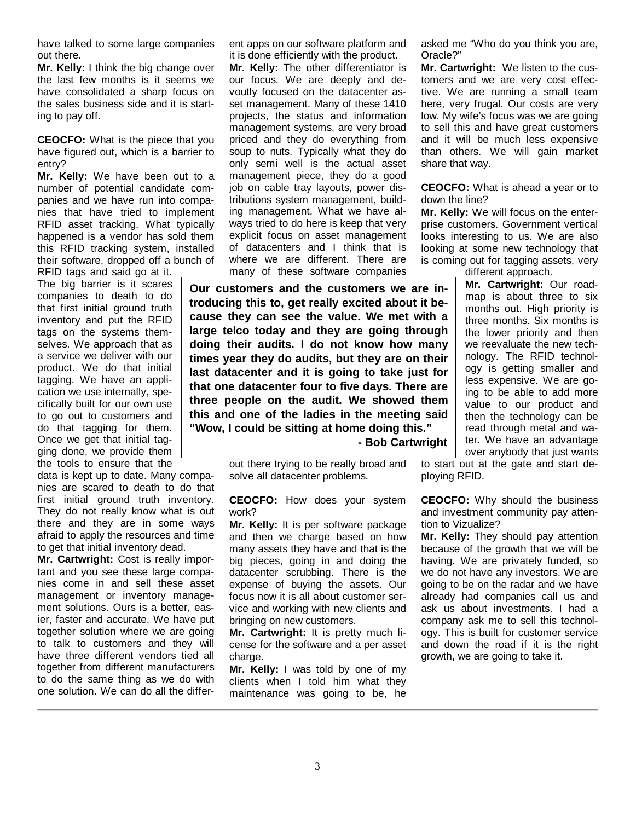have talked to some large companies out there.

**Mr. Kelly:** I think the big change over the last few months is it seems we have consolidated a sharp focus on the sales business side and it is starting to pay off.

**CEOCFO:** What is the piece that you have figured out, which is a barrier to entry?

**Mr. Kelly:** We have been out to a number of potential candidate companies and we have run into companies that have tried to implement RFID asset tracking. What typically happened is a vendor has sold them this RFID tracking system, installed their software, dropped off a bunch of

RFID tags and said go at it. The big barrier is it scares companies to death to do that first initial ground truth inventory and put the RFID tags on the systems themselves. We approach that as a service we deliver with our product. We do that initial tagging. We have an application we use internally, specifically built for our own use to go out to customers and do that tagging for them. Once we get that initial tagging done, we provide them the tools to ensure that the

data is kept up to date. Many companies are scared to death to do that first initial ground truth inventory. They do not really know what is out there and they are in some ways afraid to apply the resources and time to get that initial inventory dead.

**Mr. Cartwright:** Cost is really important and you see these large companies come in and sell these asset management or inventory management solutions. Ours is a better, easier, faster and accurate. We have put together solution where we are going to talk to customers and they will have three different vendors tied all together from different manufacturers to do the same thing as we do with one solution. We can do all the different apps on our software platform and it is done efficiently with the product.

**Mr. Kelly:** The other differentiator is our focus. We are deeply and devoutly focused on the datacenter asset management. Many of these 1410 projects, the status and information management systems, are very broad priced and they do everything from soup to nuts. Typically what they do only semi well is the actual asset management piece, they do a good job on cable tray layouts, power distributions system management, building management. What we have always tried to do here is keep that very explicit focus on asset management of datacenters and I think that is where we are different. There are many of these software companies

**Our customers and the customers we are introducing this to, get really excited about it because they can see the value. We met with a large telco today and they are going through doing their audits. I do not know how many times year they do audits, but they are on their last datacenter and it is going to take just for that one datacenter four to five days. There are three people on the audit. We showed them this and one of the ladies in the meeting said "Wow, I could be sitting at home doing this."**

 **- Bob Cartwright**

out there trying to be really broad and solve all datacenter problems.

**CEOCFO:** How does your system work?

**Mr. Kelly:** It is per software package and then we charge based on how many assets they have and that is the big pieces, going in and doing the datacenter scrubbing. There is the expense of buying the assets. Our focus now it is all about customer service and working with new clients and bringing on new customers.

**Mr. Cartwright:** It is pretty much license for the software and a per asset charge.

**Mr. Kelly:** I was told by one of my clients when I told him what they maintenance was going to be, he

asked me "Who do you think you are, Oracle?"

**Mr. Cartwright:** We listen to the customers and we are very cost effective. We are running a small team here, very frugal. Our costs are very low. My wife's focus was we are going to sell this and have great customers and it will be much less expensive than others. We will gain market share that way.

**CEOCFO:** What is ahead a year or to down the line?

**Mr. Kelly:** We will focus on the enterprise customers. Government vertical looks interesting to us. We are also looking at some new technology that is coming out for tagging assets, very

different approach.

**Mr. Cartwright:** Our roadmap is about three to six months out. High priority is three months. Six months is the lower priority and then we reevaluate the new technology. The RFID technology is getting smaller and less expensive. We are going to be able to add more value to our product and then the technology can be read through metal and water. We have an advantage over anybody that just wants

to start out at the gate and start deploying RFID.

**CEOCFO:** Why should the business and investment community pay attention to Vizualize?

**Mr. Kelly:** They should pay attention because of the growth that we will be having. We are privately funded, so we do not have any investors. We are going to be on the radar and we have already had companies call us and ask us about investments. I had a company ask me to sell this technology. This is built for customer service and down the road if it is the right growth, we are going to take it.